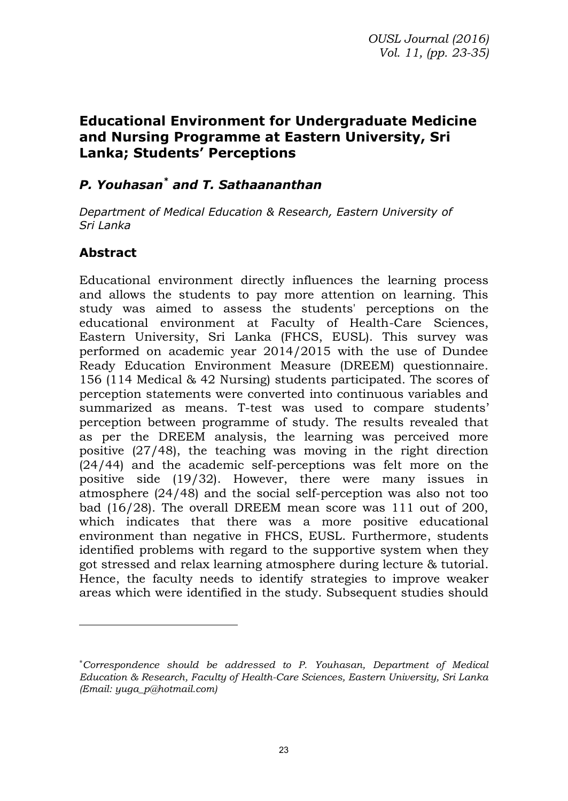# **Educational Environment for Undergraduate Medicine and Nursing Programme at Eastern University, Sri Lanka; Students' Perceptions**

#### *P. Youhasan\* and T. Sathaananthan*

*Department of Medical Education & Research, Eastern University of Sri Lanka* 

#### **Abstract**

Educational environment directly influences the learning process and allows the students to pay more attention on learning. This study was aimed to assess the students' perceptions on the educational environment at Faculty of Health-Care Sciences, Eastern University, Sri Lanka (FHCS, EUSL). This survey was performed on academic year 2014/2015 with the use of Dundee Ready Education Environment Measure (DREEM) questionnaire. 156 (114 Medical & 42 Nursing) students participated. The scores of perception statements were converted into continuous variables and summarized as means. T-test was used to compare students' perception between programme of study. The results revealed that as per the DREEM analysis, the learning was perceived more positive (27/48), the teaching was moving in the right direction (24/44) and the academic self-perceptions was felt more on the positive side (19/32). However, there were many issues in atmosphere (24/48) and the social self-perception was also not too bad (16/28). The overall DREEM mean score was 111 out of 200, which indicates that there was a more positive educational environment than negative in FHCS, EUSL. Furthermore, students identified problems with regard to the supportive system when they got stressed and relax learning atmosphere during lecture & tutorial. Hence, the faculty needs to identify strategies to improve weaker areas which were identified in the study. Subsequent studies should

<sup>\*</sup>*Correspondence should be addressed to P. Youhasan, Department of Medical Education & Research, Faculty of Health-Care Sciences, Eastern University, Sri Lanka (Email: yuga\_p@hotmail.com)*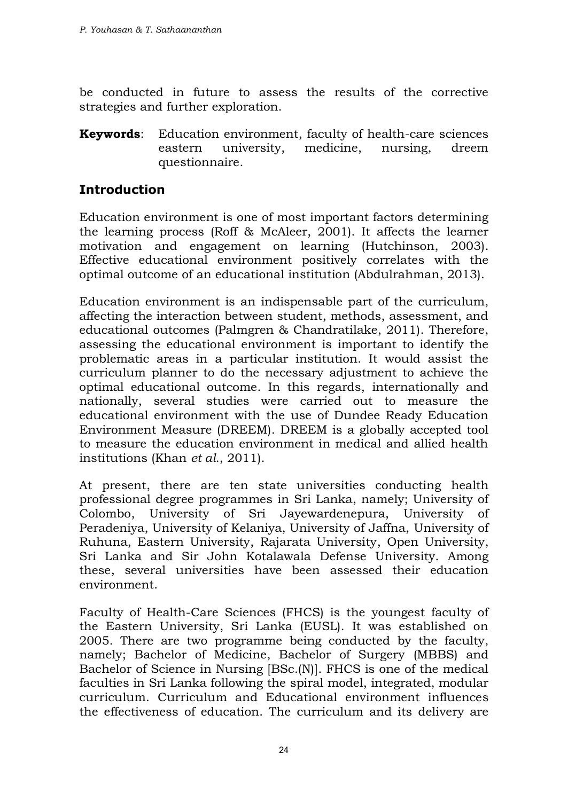be conducted in future to assess the results of the corrective strategies and further exploration.

**Keywords**: Education environment, faculty of health-care sciences eastern university, medicine, nursing, dreem questionnaire.

#### **Introduction**

Education environment is one of most important factors determining the learning process (Roff & McAleer, 2001). It affects the learner motivation and engagement on learning (Hutchinson, 2003). Effective educational environment positively correlates with the optimal outcome of an educational institution (Abdulrahman, 2013).

Education environment is an indispensable part of the curriculum, affecting the interaction between student, methods, assessment, and educational outcomes (Palmgren & Chandratilake, 2011). Therefore, assessing the educational environment is important to identify the problematic areas in a particular institution. It would assist the curriculum planner to do the necessary adjustment to achieve the optimal educational outcome. In this regards, internationally and nationally, several studies were carried out to measure the educational environment with the use of Dundee Ready Education Environment Measure (DREEM). DREEM is a globally accepted tool to measure the education environment in medical and allied health institutions (Khan *et al*., 2011).

At present, there are ten state universities conducting health professional degree programmes in Sri Lanka, namely; University of Colombo, University of Sri Jayewardenepura, University of Peradeniya, University of Kelaniya, University of Jaffna, University of Ruhuna, Eastern University, Rajarata University, Open University, Sri Lanka and Sir John Kotalawala Defense University. Among these, several universities have been assessed their education environment.

Faculty of Health-Care Sciences (FHCS) is the youngest faculty of the Eastern University, Sri Lanka (EUSL). It was established on 2005. There are two programme being conducted by the faculty, namely; Bachelor of Medicine, Bachelor of Surgery (MBBS) and Bachelor of Science in Nursing [BSc.(N)]. FHCS is one of the medical faculties in Sri Lanka following the spiral model, integrated, modular curriculum. Curriculum and Educational environment influences the effectiveness of education. The curriculum and its delivery are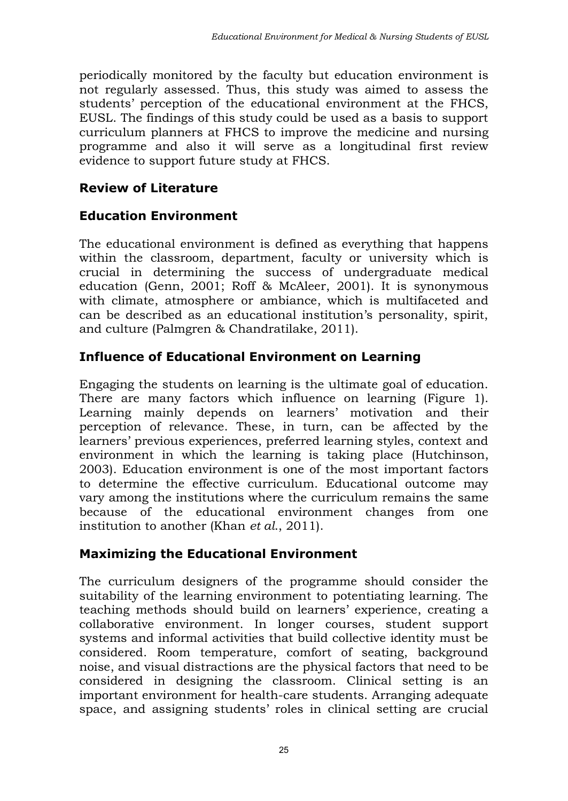periodically monitored by the faculty but education environment is not regularly assessed. Thus, this study was aimed to assess the students' perception of the educational environment at the FHCS, EUSL. The findings of this study could be used as a basis to support curriculum planners at FHCS to improve the medicine and nursing programme and also it will serve as a longitudinal first review evidence to support future study at FHCS.

### **Review of Literature**

#### **Education Environment**

The educational environment is defined as everything that happens within the classroom, department, faculty or university which is crucial in determining the success of undergraduate medical education (Genn, 2001; Roff & McAleer, 2001). It is synonymous with climate, atmosphere or ambiance, which is multifaceted and can be described as an educational institution's personality, spirit, and culture (Palmgren & Chandratilake, 2011).

### **Influence of Educational Environment on Learning**

Engaging the students on learning is the ultimate goal of education. There are many factors which influence on learning (Figure 1). Learning mainly depends on learners' motivation and their perception of relevance. These, in turn, can be affected by the learners' previous experiences, preferred learning styles, context and environment in which the learning is taking place (Hutchinson, 2003). Education environment is one of the most important factors to determine the effective curriculum. Educational outcome may vary among the institutions where the curriculum remains the same because of the educational environment changes from one institution to another (Khan *et al*., 2011).

### **Maximizing the Educational Environment**

The curriculum designers of the programme should consider the suitability of the learning environment to potentiating learning. The teaching methods should build on learners' experience, creating a collaborative environment. In longer courses, student support systems and informal activities that build collective identity must be considered. Room temperature, comfort of seating, background noise, and visual distractions are the physical factors that need to be considered in designing the classroom. Clinical setting is an important environment for health-care students. Arranging adequate space, and assigning students' roles in clinical setting are crucial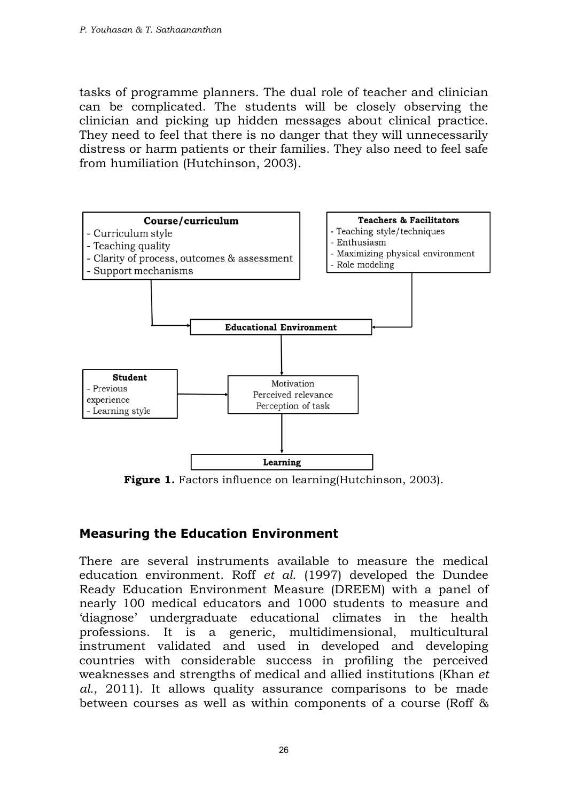tasks of programme planners. The dual role of teacher and clinician can be complicated. The students will be closely observing the clinician and picking up hidden messages about clinical practice. They need to feel that there is no danger that they will unnecessarily distress or harm patients or their families. They also need to feel safe from humiliation (Hutchinson, 2003).



**Figure 1.** Factors influence on learning(Hutchinson, 2003).

### **Measuring the Education Environment**

There are several instruments available to measure the medical education environment. Roff *et al*. (1997) developed the Dundee Ready Education Environment Measure (DREEM) with a panel of nearly 100 medical educators and 1000 students to measure and 'diagnose' undergraduate educational climates in the health professions. It is a generic, multidimensional, multicultural instrument validated and used in developed and developing countries with considerable success in profiling the perceived weaknesses and strengths of medical and allied institutions (Khan *et al.*, 2011). It allows quality assurance comparisons to be made between courses as well as within components of a course (Roff &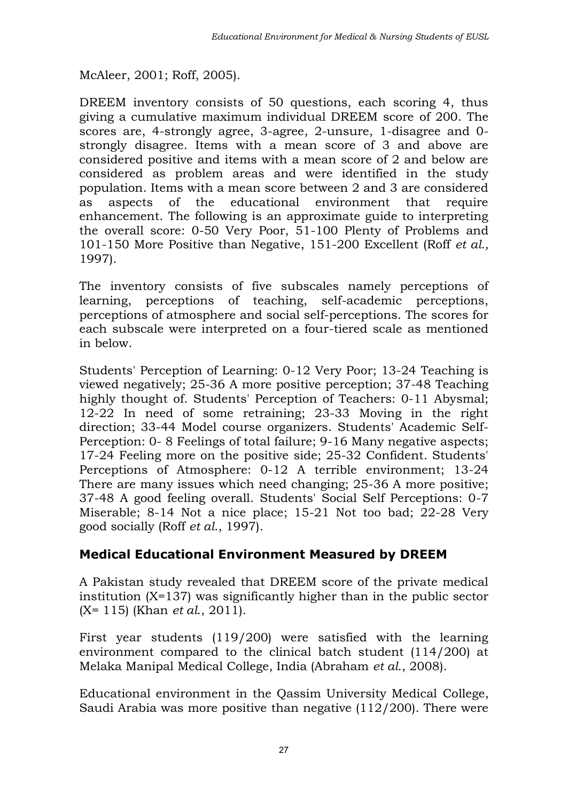McAleer, 2001; Roff, 2005).

DREEM inventory consists of 50 questions, each scoring 4, thus giving a cumulative maximum individual DREEM score of 200. The scores are, 4-strongly agree, 3-agree, 2-unsure, 1-disagree and 0 strongly disagree. Items with a mean score of 3 and above are considered positive and items with a mean score of 2 and below are considered as problem areas and were identified in the study population. Items with a mean score between 2 and 3 are considered as aspects of the educational environment that require enhancement. The following is an approximate guide to interpreting the overall score: 0-50 Very Poor, 51-100 Plenty of Problems and 101-150 More Positive than Negative, 151-200 Excellent (Roff *et al.,* 1997).

The inventory consists of five subscales namely perceptions of learning, perceptions of teaching, self-academic perceptions, perceptions of atmosphere and social self-perceptions. The scores for each subscale were interpreted on a four-tiered scale as mentioned in below.

Students' Perception of Learning: 0-12 Very Poor; 13-24 Teaching is viewed negatively; 25-36 A more positive perception; 37-48 Teaching highly thought of. Students' Perception of Teachers: 0-11 Abysmal; 12-22 In need of some retraining; 23-33 Moving in the right direction; 33-44 Model course organizers. Students' Academic Self-Perception: 0- 8 Feelings of total failure; 9-16 Many negative aspects; 17-24 Feeling more on the positive side; 25-32 Confident. Students' Perceptions of Atmosphere: 0-12 A terrible environment; 13-24 There are many issues which need changing; 25-36 A more positive; 37-48 A good feeling overall. Students' Social Self Perceptions: 0-7 Miserable; 8-14 Not a nice place; 15-21 Not too bad; 22-28 Very good socially (Roff *et al*., 1997).

### **Medical Educational Environment Measured by DREEM**

A Pakistan study revealed that DREEM score of the private medical institution (X=137) was significantly higher than in the public sector (X= 115) (Khan *et al*., 2011).

First year students (119/200) were satisfied with the learning environment compared to the clinical batch student (114/200) at Melaka Manipal Medical College, India (Abraham *et al*., 2008).

Educational environment in the Qassim University Medical College, Saudi Arabia was more positive than negative (112/200). There were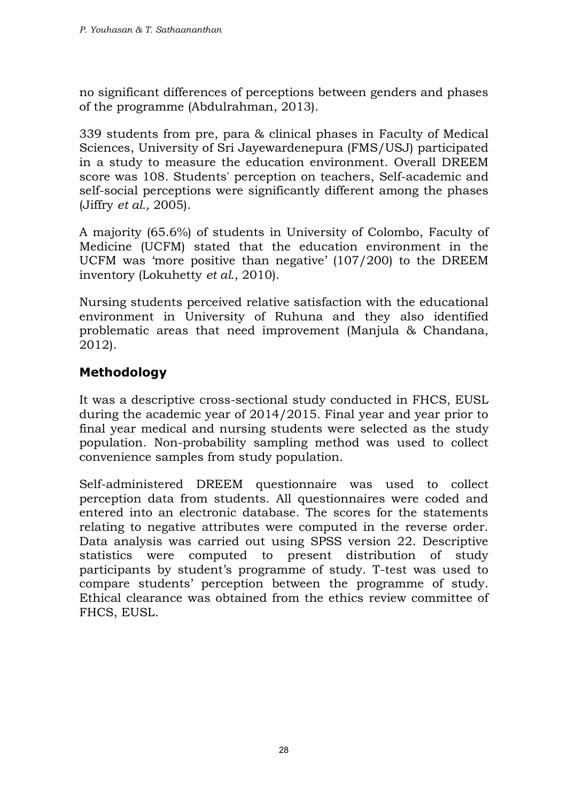no significant differences of perceptions between genders and phases of the programme (Abdulrahman, 2013).

339 students from pre, para & clinical phases in Faculty of Medical Sciences, University of Sri Jayewardenepura (FMS/USJ) participated in a study to measure the education environment. Overall DREEM score was 108. Students' perception on teachers, Self-academic and self-social perceptions were significantly different among the phases (Jiffry *et al.,* 2005).

A majority (65.6%) of students in University of Colombo, Faculty of Medicine (UCFM) stated that the education environment in the UCFM was 'more positive than negative' (107/200) to the DREEM inventory (Lokuhetty *et al.,* 2010).

Nursing students perceived relative satisfaction with the educational environment in University of Ruhuna and they also identified problematic areas that need improvement (Manjula & Chandana, 2012).

# **Methodology**

It was a descriptive cross-sectional study conducted in FHCS, EUSL during the academic year of 2014/2015. Final year and year prior to final year medical and nursing students were selected as the study population. Non-probability sampling method was used to collect convenience samples from study population.

Self-administered DREEM questionnaire was used to collect perception data from students. All questionnaires were coded and entered into an electronic database. The scores for the statements relating to negative attributes were computed in the reverse order. Data analysis was carried out using SPSS version 22. Descriptive statistics were computed to present distribution of study participants by student's programme of study. T-test was used to compare students' perception between the programme of study. Ethical clearance was obtained from the ethics review committee of FHCS, EUSL.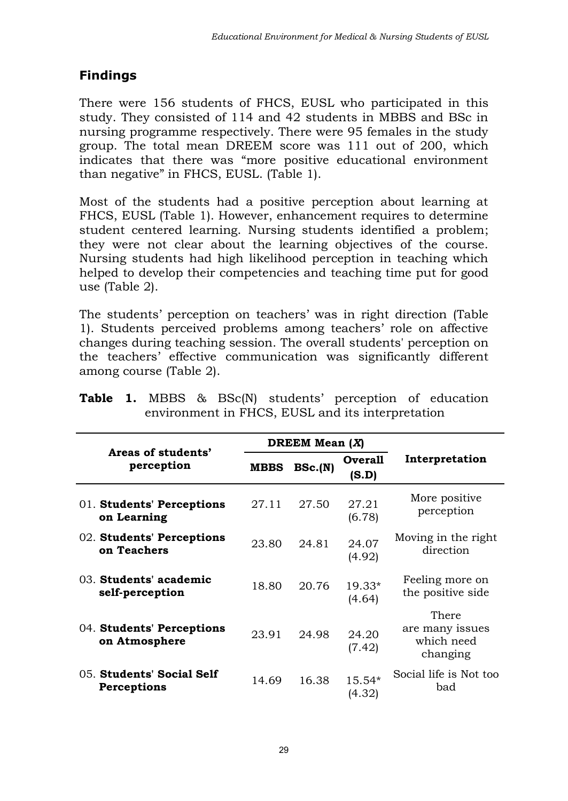# **Findings**

There were 156 students of FHCS, EUSL who participated in this study. They consisted of 114 and 42 students in MBBS and BSc in nursing programme respectively. There were 95 females in the study group. The total mean DREEM score was 111 out of 200, which indicates that there was "more positive educational environment than negative" in FHCS, EUSL. (Table 1).

Most of the students had a positive perception about learning at FHCS, EUSL (Table 1). However, enhancement requires to determine student centered learning. Nursing students identified a problem; they were not clear about the learning objectives of the course. Nursing students had high likelihood perception in teaching which helped to develop their competencies and teaching time put for good use (Table 2).

The students' perception on teachers' was in right direction (Table 1). Students perceived problems among teachers' role on affective changes during teaching session. The overall students' perception on the teachers' effective communication was significantly different among course (Table 2).

|                                            | DREEM Mean $(X)$ |         |                         |                                                    |  |
|--------------------------------------------|------------------|---------|-------------------------|----------------------------------------------------|--|
| Areas of students'<br>perception           | <b>MBBS</b>      | BSc.(N) | <b>Overall</b><br>(S.D) | Interpretation                                     |  |
| 01. Students' Perceptions<br>on Learning   | 27.11            | 27.50   | 27.21<br>(6.78)         | More positive<br>perception                        |  |
| 02. Students' Perceptions<br>on Teachers   | 23.80            | 24.81   | 24.07<br>(4.92)         | Moving in the right<br>direction                   |  |
| 03. Students' academic<br>self-perception  | 18.80            | 20.76   | $19.33*$<br>(4.64)      | Feeling more on<br>the positive side               |  |
| 04. Students' Perceptions<br>on Atmosphere | 23.91            | 24.98   | 24.20<br>(7.42)         | There<br>are many issues<br>which need<br>changing |  |
| 05. Students' Social Self<br>Perceptions   | 14.69            | 16.38   | $15.54*$<br>(4.32)      | Social life is Not too<br>bad                      |  |

|                                                  |  |  |  |  |  | <b>Table 1.</b> MBBS & BSc(N) students' perception of education |  |  |
|--------------------------------------------------|--|--|--|--|--|-----------------------------------------------------------------|--|--|
| environment in FHCS, EUSL and its interpretation |  |  |  |  |  |                                                                 |  |  |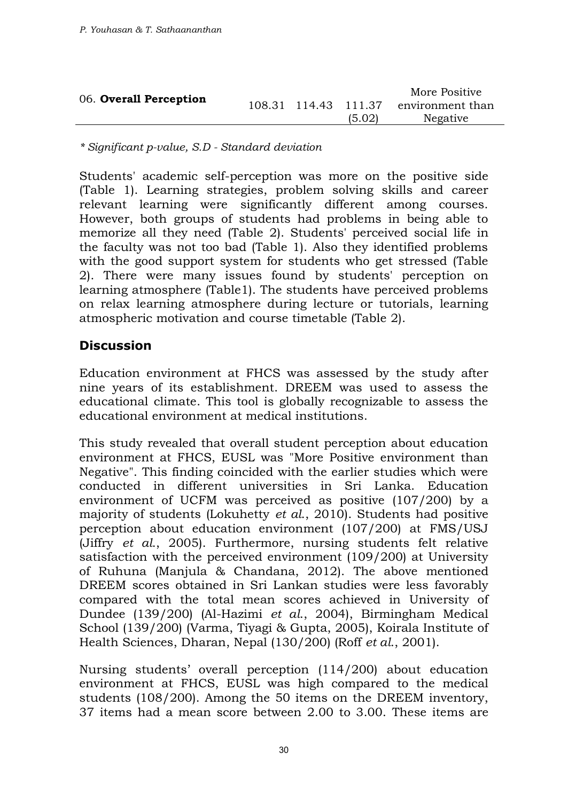| 06. Overall Perception |  |        | More Positive                         |
|------------------------|--|--------|---------------------------------------|
|                        |  |        | 108.31 114.43 111.37 environment than |
|                        |  | (5.02) | Negative                              |

*\* Significant p-value, S.D - Standard deviation* 

Students' academic self-perception was more on the positive side (Table 1). Learning strategies, problem solving skills and career relevant learning were significantly different among courses. However, both groups of students had problems in being able to memorize all they need (Table 2). Students' perceived social life in the faculty was not too bad (Table 1). Also they identified problems with the good support system for students who get stressed (Table 2). There were many issues found by students' perception on learning atmosphere (Table1). The students have perceived problems on relax learning atmosphere during lecture or tutorials, learning atmospheric motivation and course timetable (Table 2).

#### **Discussion**

Education environment at FHCS was assessed by the study after nine years of its establishment. DREEM was used to assess the educational climate. This tool is globally recognizable to assess the educational environment at medical institutions.

This study revealed that overall student perception about education environment at FHCS, EUSL was "More Positive environment than Negative". This finding coincided with the earlier studies which were conducted in different universities in Sri Lanka. Education environment of UCFM was perceived as positive (107/200) by a majority of students (Lokuhetty *et al*., 2010). Students had positive perception about education environment (107/200) at FMS/USJ (Jiffry *et al*., 2005). Furthermore, nursing students felt relative satisfaction with the perceived environment (109/200) at University of Ruhuna (Manjula & Chandana, 2012). The above mentioned DREEM scores obtained in Sri Lankan studies were less favorably compared with the total mean scores achieved in University of Dundee (139/200) (Al-Hazimi *et al*., 2004), Birmingham Medical School (139/200) (Varma, Tiyagi & Gupta, 2005), Koirala Institute of Health Sciences, Dharan, Nepal (130/200) (Roff *et al*., 2001).

Nursing students' overall perception (114/200) about education environment at FHCS, EUSL was high compared to the medical students (108/200). Among the 50 items on the DREEM inventory, 37 items had a mean score between 2.00 to 3.00. These items are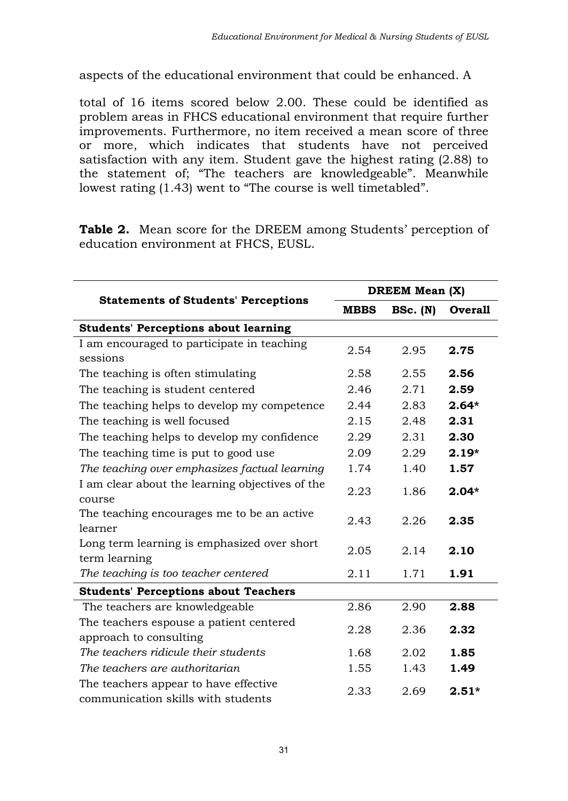aspects of the educational environment that could be enhanced. A

total of 16 items scored below 2.00. These could be identified as problem areas in FHCS educational environment that require further improvements. Furthermore, no item received a mean score of three or more, which indicates that students have not perceived satisfaction with any item. Student gave the highest rating (2.88) to the statement of; "The teachers are knowledgeable". Meanwhile lowest rating (1.43) went to "The course is well timetabled".

**Table 2.** Mean score for the DREEM among Students' perception of education environment at FHCS, EUSL.

|                                                                             | <b>DREEM Mean (X)</b> |          |                |  |
|-----------------------------------------------------------------------------|-----------------------|----------|----------------|--|
| <b>Statements of Students' Perceptions</b>                                  | <b>MBBS</b>           | BSc. (N) | <b>Overall</b> |  |
| <b>Students' Perceptions about learning</b>                                 |                       |          |                |  |
| I am encouraged to participate in teaching<br>sessions                      | 2.54                  | 2.95     | 2.75           |  |
| The teaching is often stimulating                                           | 2.58                  | 2.55     | 2.56           |  |
| The teaching is student centered                                            | 2.46                  | 2.71     | 2.59           |  |
| The teaching helps to develop my competence                                 | 2.44                  | 2.83     | $2.64*$        |  |
| The teaching is well focused                                                | 2.15                  | 2.48     | 2.31           |  |
| The teaching helps to develop my confidence                                 | 2.29                  | 2.31     | 2.30           |  |
| The teaching time is put to good use                                        | 2.09                  | 2.29     | $2.19*$        |  |
| The teaching over emphasizes factual learning                               | 1.74                  | 1.40     | 1.57           |  |
| I am clear about the learning objectives of the<br>course                   | 2.23                  | 1.86     | $2.04*$        |  |
| The teaching encourages me to be an active<br>learner                       | 2.43                  | 2.26     | 2.35           |  |
| Long term learning is emphasized over short<br>term learning                | 2.05                  | 2.14     | 2.10           |  |
| The teaching is too teacher centered                                        | 2.11                  | 1.71     | 1.91           |  |
| <b>Students' Perceptions about Teachers</b>                                 |                       |          |                |  |
| The teachers are knowledgeable                                              | 2.86                  | 2.90     | 2.88           |  |
| The teachers espouse a patient centered<br>approach to consulting           | 2.28                  | 2.36     | 2.32           |  |
| The teachers ridicule their students                                        | 1.68                  | 2.02     | 1.85           |  |
| The teachers are authoritarian                                              | 1.55                  | 1.43     | 1.49           |  |
| The teachers appear to have effective<br>communication skills with students | 2.33                  | 2.69     | $2.51*$        |  |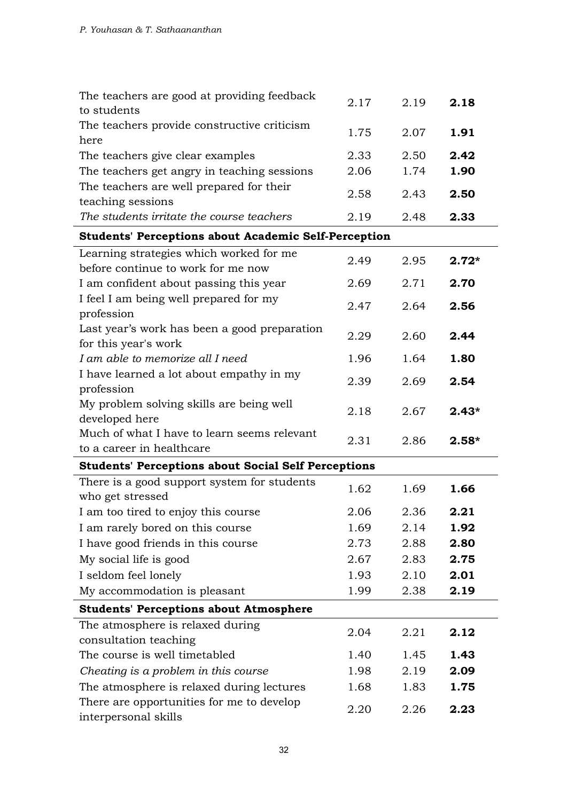| The teachers are good at providing feedback<br>to students                             | 2.17         | 2.19         | 2.18         |
|----------------------------------------------------------------------------------------|--------------|--------------|--------------|
| The teachers provide constructive criticism<br>here                                    | 1.75         | 2.07         | 1.91         |
| The teachers give clear examples                                                       | 2.33         | 2.50         | 2.42         |
| The teachers get angry in teaching sessions                                            | 2.06         | 1.74         | 1.90         |
| The teachers are well prepared for their                                               | 2.58         | 2.43         | 2.50         |
| teaching sessions                                                                      |              |              |              |
| The students irritate the course teachers                                              | 2.19         | 2.48         | 2.33         |
| <b>Students' Perceptions about Academic Self-Perception</b>                            |              |              |              |
| Learning strategies which worked for me                                                | 2.49         | 2.95         | $2.72*$      |
| before continue to work for me now                                                     |              |              |              |
| I am confident about passing this year                                                 | 2.69         | 2.71         | 2.70         |
| I feel I am being well prepared for my                                                 | 2.47         | 2.64         | 2.56         |
| profession                                                                             |              |              |              |
| Last year's work has been a good preparation<br>for this year's work                   | 2.29         | 2.60         | 2.44         |
| I am able to memorize all I need                                                       | 1.96         | 1.64         | 1.80         |
| I have learned a lot about empathy in my                                               |              |              |              |
| profession                                                                             | 2.39         | 2.69         | 2.54         |
| My problem solving skills are being well                                               | 2.18         | 2.67         | $2.43*$      |
|                                                                                        |              |              |              |
| developed here                                                                         |              |              |              |
| Much of what I have to learn seems relevant                                            |              |              |              |
| to a career in healthcare                                                              | 2.31         | 2.86         | $2.58*$      |
| <b>Students' Perceptions about Social Self Perceptions</b>                             |              |              |              |
| There is a good support system for students                                            | 1.62         | 1.69         | 1.66         |
| who get stressed                                                                       |              |              |              |
| I am too tired to enjoy this course                                                    | 2.06         | 2.36         | 2.21         |
| I am rarely bored on this course                                                       | 1.69         | 2.14         | 1.92         |
| I have good friends in this course                                                     | 2.73         | 2.88         | 2.80         |
| My social life is good                                                                 | 2.67         | 2.83         | 2.75         |
| I seldom feel lonely                                                                   | 1.93         | 2.10         | 2.01         |
| My accommodation is pleasant                                                           | 1.99         | 2.38         | 2.19         |
| <b>Students' Perceptions about Atmosphere</b>                                          |              |              |              |
| The atmosphere is relaxed during                                                       | 2.04         | 2.21         | 2.12         |
| consultation teaching                                                                  |              |              |              |
| The course is well timetabled                                                          | 1.40         | 1.45         | 1.43         |
| Cheating is a problem in this course                                                   | 1.98         | 2.19         | 2.09         |
| The atmosphere is relaxed during lectures<br>There are opportunities for me to develop | 1.68<br>2.20 | 1.83<br>2.26 | 1.75<br>2.23 |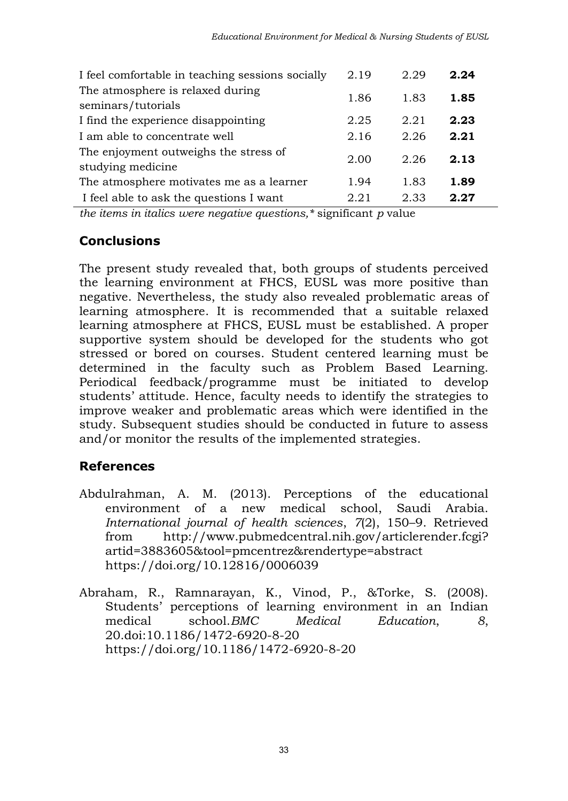| I feel comfortable in teaching sessions socially           | 2.19 | 2.29 | 2.24 |
|------------------------------------------------------------|------|------|------|
| The atmosphere is relaxed during<br>seminars/tutorials     | 1.86 | 1.83 | 1.85 |
| I find the experience disappointing                        | 2.25 | 2.21 | 2.23 |
| I am able to concentrate well                              | 2.16 | 2.26 | 2.21 |
| The enjoyment outweighs the stress of<br>studying medicine | 2.00 | 2.26 | 2.13 |
| The atmosphere motivates me as a learner                   | 1.94 | 1.83 | 1.89 |
| I feel able to ask the questions I want                    | 2.21 | 2.33 | 2.27 |

*the items in italics were negative questions,\** significant *p* value

# **Conclusions**

The present study revealed that, both groups of students perceived the learning environment at FHCS, EUSL was more positive than negative. Nevertheless, the study also revealed problematic areas of learning atmosphere. It is recommended that a suitable relaxed learning atmosphere at FHCS, EUSL must be established. A proper supportive system should be developed for the students who got stressed or bored on courses. Student centered learning must be determined in the faculty such as Problem Based Learning. Periodical feedback/programme must be initiated to develop students' attitude. Hence, faculty needs to identify the strategies to improve weaker and problematic areas which were identified in the study. Subsequent studies should be conducted in future to assess and/or monitor the results of the implemented strategies.

# **References**

- Abdulrahman, A. M. (2013). Perceptions of the educational environment of a new medical school, Saudi Arabia. *International journal of health sciences*, *7*(2), 150–9. Retrieved from http://www.pubmedcentral.nih.gov/articlerender.fcgi? artid=3883605&tool=pmcentrez&rendertype=abstract <https://doi.org/10.12816/0006039>
- Abraham, R., Ramnarayan, K., Vinod, P., &Torke, S. (2008). Students' perceptions of learning environment in an Indian medical school.*BMC Medical Education*, *8*, 20.doi:10.1186/1472-6920-8-20 <https://doi.org/10.1186/1472-6920-8-20>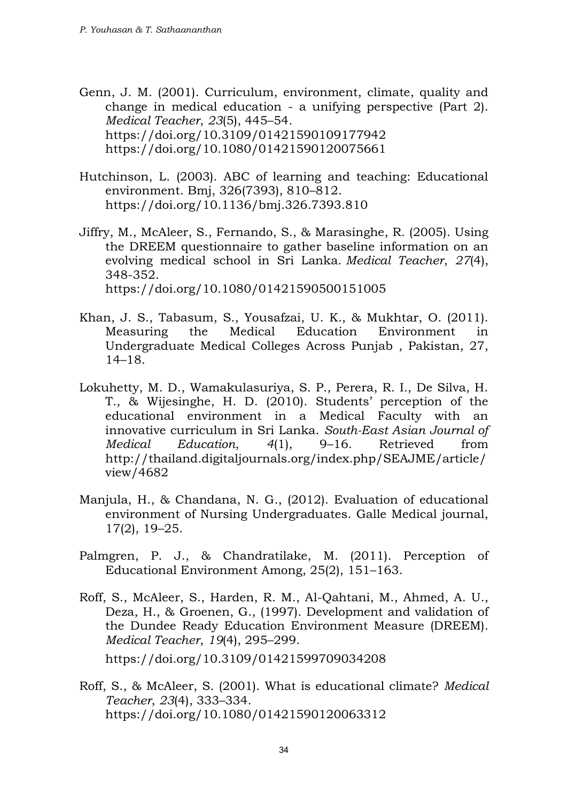Genn, J. M. (2001). Curriculum, environment, climate, quality and change in medical education - a unifying perspective (Part 2). *Medical Teacher*, *23*(5), 445–54. <https://doi.org/10.3109/01421590109177942> <https://doi.org/10.1080/01421590120075661>

- Hutchinson, L. (2003). ABC of learning and teaching: Educational environment. Bmj, 326(7393), 810–812. <https://doi.org/10.1136/bmj.326.7393.810>
- Jiffry, M., McAleer, S., Fernando, S., & Marasinghe, R. (2005). Using the DREEM questionnaire to gather baseline information on an evolving medical school in Sri Lanka. *Medical Teacher*, *27*(4), 348-352. <https://doi.org/10.1080/01421590500151005>
- Khan, J. S., Tabasum, S., Yousafzai, U. K., & Mukhtar, O. (2011). Measuring the Medical Education Environment in Undergraduate Medical Colleges Across Punjab , Pakistan, 27, 14–18.
- Lokuhetty, M. D., Wamakulasuriya, S. P., Perera, R. I., De Silva, H. T., & Wijesinghe, H. D. (2010). Students' perception of the educational environment in a Medical Faculty with an innovative curriculum in Sri Lanka. *South-East Asian Journal of Medical Education*, *4*(1), 9–16. Retrieved from http://thailand.digitaljournals.org/index.php/SEAJME/article/ view/4682
- Manjula, H., & Chandana, N. G., (2012). Evaluation of educational environment of Nursing Undergraduates. Galle Medical journal, 17(2), 19–25.
- Palmgren, P. J., & Chandratilake, M. (2011). Perception of Educational Environment Among, 25(2), 151–163.
- Roff, S., McAleer, S., Harden, R. M., Al-Qahtani, M., Ahmed, A. U., Deza, H., & Groenen, G., (1997). Development and validation of the Dundee Ready Education Environment Measure (DREEM). *Medical Teacher*, *19*(4), 295–299. <https://doi.org/10.3109/01421599709034208>
- Roff, S., & McAleer, S. (2001). What is educational climate? *Medical Teacher*, *23*(4), 333–334. <https://doi.org/10.1080/01421590120063312>